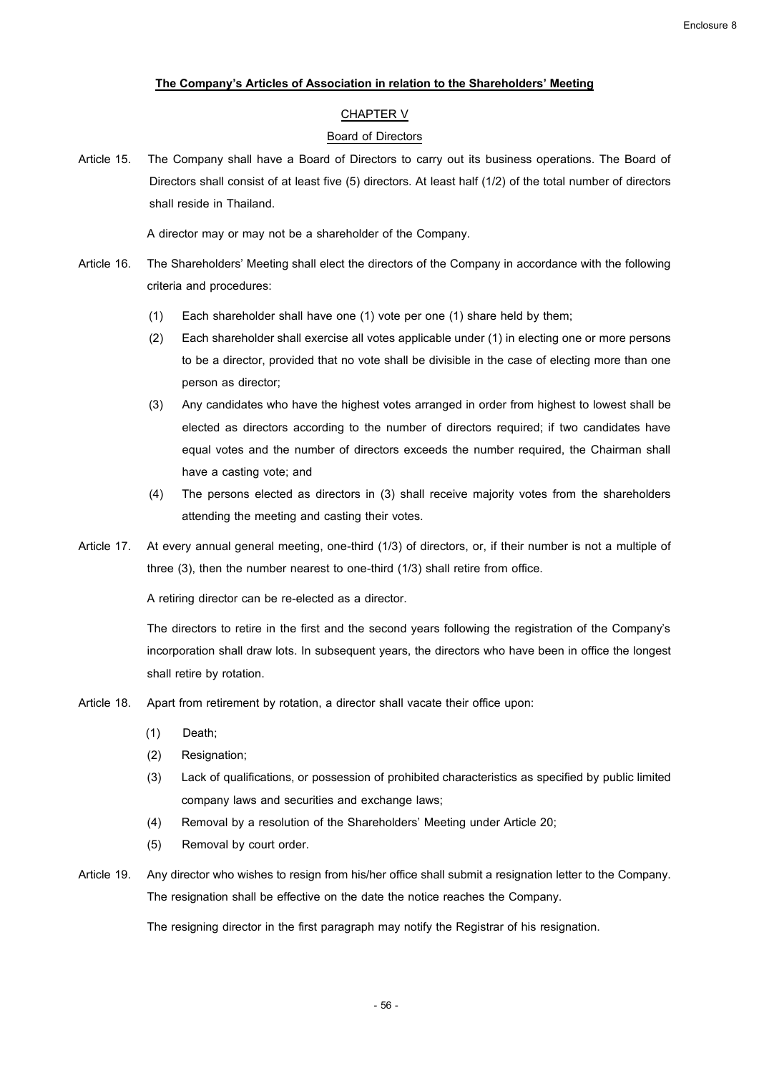# **The Company's Articlesof Association in relation to the Shareholders' Meeting**

## CHAPTER V

### Board of Directors

Article 15. The Company shall have a Board of Directors to carry out its business operations. The Board of Directors shall consist of at least five (5) directors. At least half (1/2) of the total number of directors shall reside in Thailand.

A director may or may not be a shareholder of the Company.

- Article 16. The Shareholders' Meeting shall elect the directors of the Company in accordance with the following criteria and procedures:
	- (1) Each shareholder shall have one (1) vote per one (1) share held by them;
	- (2) Each shareholder shall exercise all votes applicable under (1) in electing one or more persons to be a director, provided that no vote shall be divisible in the case of electing more than one person as director;
	- (3) Any candidates who have the highest votes arranged in order from highest to lowest shall be elected as directors according to the number of directors required; if two candidates have equal votes and the number of directors exceeds the number required, the Chairman shall have a casting vote; and
	- (4) The persons elected as directors in (3) shall receive majority votes from the shareholders attending the meeting and casting their votes.
- Article 17. At every annual general meeting, one-third (1/3) of directors, or, if their number is not a multiple of three (3), then the number nearest to one-third (1/3) shall retire from office.

A retiring director can be re-elected as a director.

The directors to retire in the first and the second years following the registration of the Company's incorporation shall draw lots. In subsequent years, the directors who have been in office the longest shall retire by rotation.

- Article 18. Apart from retirement by rotation, a director shall vacate their office upon:
	- (1) Death;
	- (2) Resignation;
	- (3) Lack of qualifications, or possession of prohibited characteristics as specified by public limited company laws and securities and exchange laws;
	- (4) Removal by a resolution of the Shareholders' Meeting under Article 20;
	- (5) Removal by court order.
- Article 19. Any director who wishes to resign from his/her office shall submit a resignation letter to the Company. The resignation shall be effective on the date the notice reaches the Company.

The resigning director in the first paragraph may notify the Registrar of his resignation.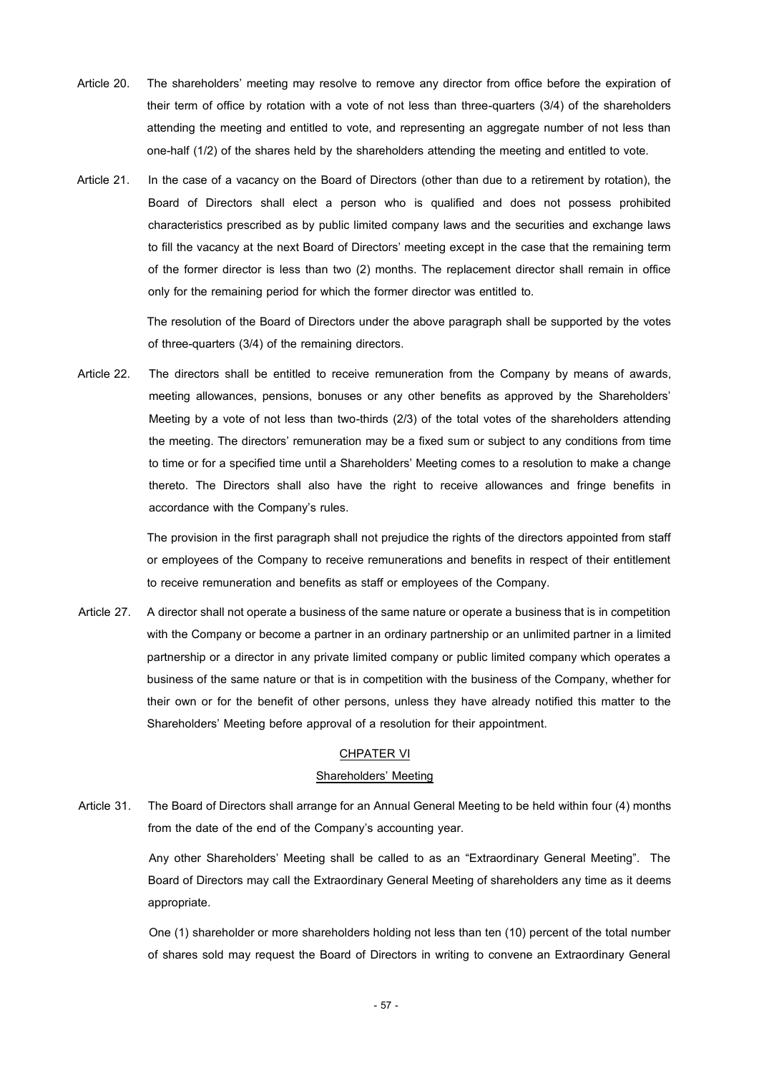- Article 20. The shareholders' meeting may resolve to remove any director from office before the expiration of their term of office by rotation with a vote of not less than three-quarters (3/4) of the shareholders attending the meeting and entitled to vote, and representing an aggregate number of not less than one-half (1/2) of the shares held by the shareholders attending the meeting and entitled to vote.
- Article 21. In the case of a vacancy on the Board of Directors (other than due to a retirement by rotation), the Board of Directors shall elect a person who is qualified and does not possess prohibited characteristics prescribed as by public limited company laws and the securities and exchange laws to fill the vacancy at the next Board of Directors' meeting except in the case that the remaining term of the former director is less than two (2) months. The replacement director shall remain in office only for the remaining period for which the former director was entitled to.

The resolution of the Board of Directors under the above paragraph shall be supported by the votes of three-quarters (3/4) of the remaining directors.

Article 22. The directors shall be entitled to receive remuneration from the Company by means of awards, meeting allowances, pensions, bonuses or any other benefits as approved by the Shareholders' Meeting by a vote of not less than two-thirds (2/3) of the total votes of the shareholders attending the meeting. The directors' remuneration may be a fixed sum or subject to any conditions from time to time or for a specified time until a Shareholders' Meeting comes to a resolution to make a change thereto. The Directors shall also have the right to receive allowances and fringe benefits in accordance with the Company's rules.

> The provision in the first paragraph shall not prejudice the rights of the directors appointed from staff or employees of the Company to receive remunerations and benefits in respect of their entitlement to receive remuneration and benefits as staff or employees of the Company.

Article 27. A director shall not operate a business of the same nature or operate a business that is in competition with the Company or become a partner in an ordinary partnership or an unlimited partner in a limited partnership or a director in any private limited company or public limited company which operates a business of the same nature or that is in competition with the business of the Company, whether for their own or for the benefit of other persons, unless they have already notified this matter to the Shareholders' Meeting before approval of a resolution for their appointment.

#### CHPATER VI

# Shareholders' Meeting

Article 31. The Board of Directors shall arrange for an Annual General Meeting to be held within four (4) months from the date of the end of the Company's accounting year.

> Any other Shareholders' Meeting shall be called to as an "Extraordinary General Meeting". The Board of Directors may call the Extraordinary General Meeting of shareholders any time as it deems appropriate.

> One (1) shareholder or more shareholders holding not less than ten (10) percent of the total number of shares sold may request the Board of Directors in writing to convene an Extraordinary General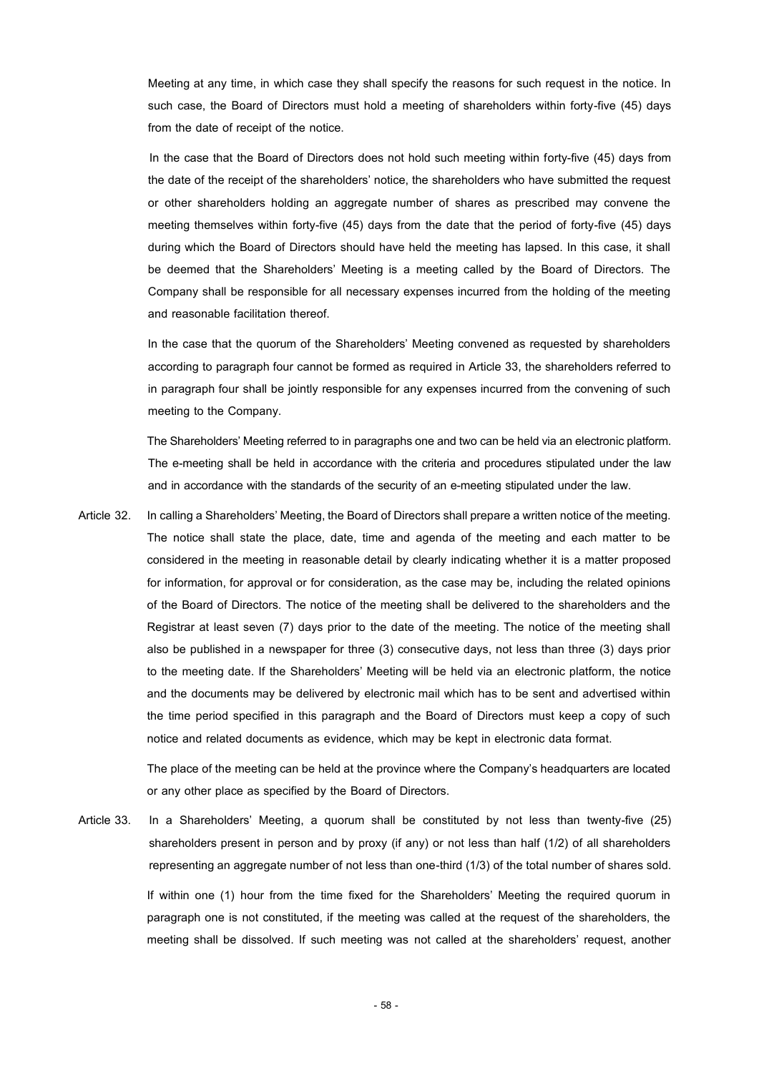Meeting at any time, in which case they shall specify the reasons for such request in the notice. In such case, the Board of Directors must hold a meeting of shareholders within forty-five (45) days from the date of receipt of the notice.

In the case that the Board of Directors does not hold such meeting within forty-five (45) days from the date of the receipt of the shareholders' notice, the shareholders who have submitted the request or other shareholders holding an aggregate number of shares as prescribed may convene the meeting themselves within forty-five (45) days from the date that the period of forty-five (45) days during which the Board of Directors should have held the meeting has lapsed. In this case, it shall be deemed that the Shareholders' Meeting is a meeting called by the Board of Directors. The Company shall be responsible for all necessary expenses incurred from the holding of the meeting and reasonable facilitation thereof.

In the case that the quorum of the Shareholders' Meeting convened as requested by shareholders according to paragraph four cannot be formed as required in Article 33, the shareholders referred to in paragraph four shall be jointly responsible for any expenses incurred from the convening of such meeting to the Company.

The Shareholders' Meeting referred to in paragraphs one and two can be held via an electronic platform. The e-meeting shall be held in accordance with the criteria and procedures stipulated under the law and in accordance with the standards of the security of an e-meeting stipulated under the law.

Article 32. In calling a Shareholders' Meeting, the Board of Directors shall prepare a written notice of the meeting. The notice shall state the place, date, time and agenda of the meeting and each matter to be considered in the meeting in reasonable detail by clearly indicating whether it is a matter proposed for information, for approval or for consideration, as the case may be, including the related opinions of the Board of Directors. The notice of the meeting shall be delivered to the shareholders and the Registrar at least seven (7) days prior to the date of the meeting. The notice of the meeting shall also be published in a newspaper for three (3) consecutive days, not less than three (3) days prior to the meeting date. If the Shareholders' Meeting will be held via an electronic platform, the notice and the documents may be delivered by electronic mail which has to be sent and advertised within the time period specified in this paragraph and the Board of Directors must keep a copy of such notice and related documents as evidence, which may be kept in electronic data format.

> The place of the meeting can be held at the province where the Company's headquarters are located or any other place as specified by the Board of Directors.

Article 33. In a Shareholders' Meeting, a quorum shall be constituted by not less than twenty-five (25) shareholders present in person and by proxy (if any) or not less than half (1/2) of all shareholders representing an aggregate number of not less than one-third (1/3) of the total number of shares sold. If within one (1) hour from the time fixed for the Shareholders' Meeting the required quorum in

paragraph one is not constituted, if the meeting was called at the request of the shareholders, the meeting shall be dissolved. If such meeting was not called at the shareholders' request, another